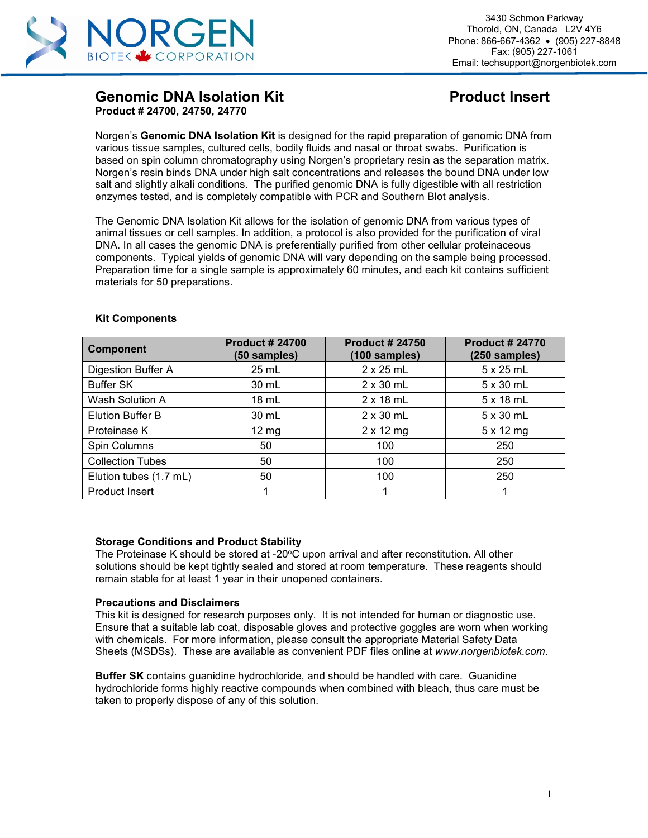

## **Genomic DNA Isolation Kit Channel Construction Product Insert Product # 24700, 24750, 24770**

Norgen's **Genomic DNA Isolation Kit** is designed for the rapid preparation of genomic DNA from various tissue samples, cultured cells, bodily fluids and nasal or throat swabs. Purification is based on spin column chromatography using Norgen's proprietary resin as the separation matrix. Norgen's resin binds DNA under high salt concentrations and releases the bound DNA under low salt and slightly alkali conditions. The purified genomic DNA is fully digestible with all restriction enzymes tested, and is completely compatible with PCR and Southern Blot analysis.

The Genomic DNA Isolation Kit allows for the isolation of genomic DNA from various types of animal tissues or cell samples. In addition, a protocol is also provided for the purification of viral DNA. In all cases the genomic DNA is preferentially purified from other cellular proteinaceous components. Typical yields of genomic DNA will vary depending on the sample being processed. Preparation time for a single sample is approximately 60 minutes, and each kit contains sufficient materials for 50 preparations.

| <b>Component</b>             | <b>Product #24700</b><br>(50 samples) | <b>Product # 24750</b><br>(100 samples) | <b>Product # 24770</b><br>(250 samples) |
|------------------------------|---------------------------------------|-----------------------------------------|-----------------------------------------|
| Digestion Buffer A           | $25$ mL                               | $2 \times 25$ mL                        | $5 \times 25$ mL                        |
| <b>Buffer SK</b>             | 30 mL                                 | $2 \times 30$ mL                        | $5 \times 30$ mL                        |
| Wash Solution A              | $18 \text{ mL}$                       | $2 \times 18$ mL                        | $5 \times 18$ mL                        |
| <b>Elution Buffer B</b>      | 30 mL                                 | $2 \times 30$ mL                        | $5 \times 30$ mL                        |
| Proteinase K                 | $12 \text{ mg}$                       | $2 \times 12$ mg                        | $5 \times 12$ mg                        |
| Spin Columns                 | 50                                    | 100                                     | 250                                     |
| <b>Collection Tubes</b>      | 50                                    | 100                                     | 250                                     |
| Elution tubes (1.7 mL)<br>50 |                                       | 100                                     | 250                                     |
| Product Insert               |                                       |                                         |                                         |

#### **Kit Components**

#### **Storage Conditions and Product Stability**

The Proteinase K should be stored at -20 $\degree$ C upon arrival and after reconstitution. All other solutions should be kept tightly sealed and stored at room temperature. These reagents should remain stable for at least 1 year in their unopened containers.

#### **Precautions and Disclaimers**

This kit is designed for research purposes only. It is not intended for human or diagnostic use. Ensure that a suitable lab coat, disposable gloves and protective goggles are worn when working with chemicals. For more information, please consult the appropriate Material Safety Data Sheets (MSDSs). These are available as convenient PDF files online at *www.norgenbiotek.com*.

**Buffer SK** contains guanidine hydrochloride, and should be handled with care. Guanidine hydrochloride forms highly reactive compounds when combined with bleach, thus care must be taken to properly dispose of any of this solution.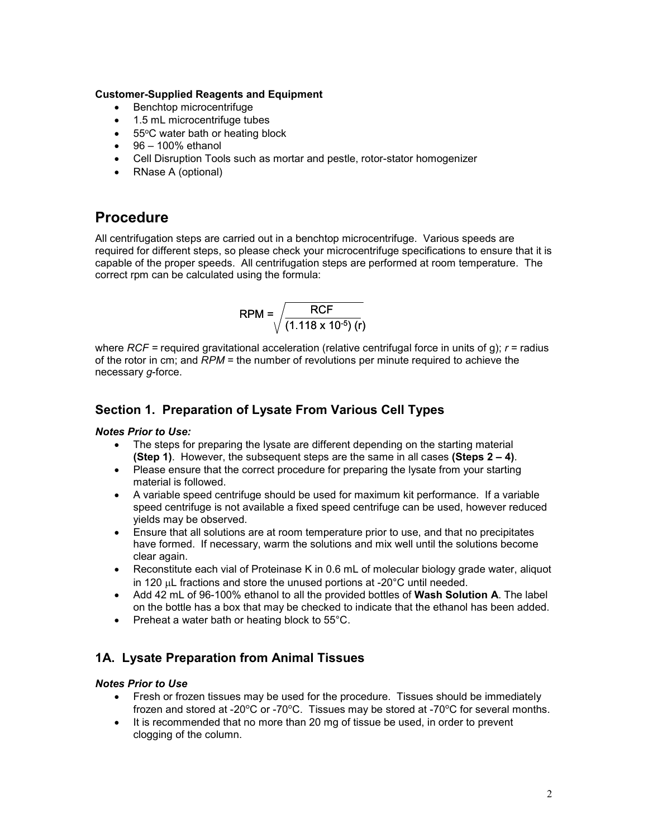#### **Customer-Supplied Reagents and Equipment**

- Benchtop microcentrifuge
- 1.5 mL microcentrifuge tubes
- $\bullet$  55°C water bath or heating block
- $\bullet$  96 100% ethanol
- Cell Disruption Tools such as mortar and pestle, rotor-stator homogenizer
- RNase A (optional)

# **Procedure**

All centrifugation steps are carried out in a benchtop microcentrifuge. Various speeds are required for different steps, so please check your microcentrifuge specifications to ensure that it is capable of the proper speeds. All centrifugation steps are performed at room temperature. The correct rpm can be calculated using the formula:

$$
RPM = \sqrt{\frac{RCF}{(1.118 \times 10^{-5}) (r)}}
$$

where *RCF =* required gravitational acceleration (relative centrifugal force in units of g); *r* = radius of the rotor in cm; and *RPM* = the number of revolutions per minute required to achieve the necessary *g*-force.

## **Section 1. Preparation of Lysate From Various Cell Types**

#### *Notes Prior to Use:*

- The steps for preparing the lysate are different depending on the starting material **(Step 1)**. However, the subsequent steps are the same in all cases **(Steps 2 – 4)**.
- Please ensure that the correct procedure for preparing the lysate from your starting material is followed.
- A variable speed centrifuge should be used for maximum kit performance. If a variable speed centrifuge is not available a fixed speed centrifuge can be used, however reduced yields may be observed.
- Ensure that all solutions are at room temperature prior to use, and that no precipitates have formed. If necessary, warm the solutions and mix well until the solutions become clear again.
- Reconstitute each vial of Proteinase K in 0.6 mL of molecular biology grade water, aliquot in 120 µL fractions and store the unused portions at -20°C until needed.
- Add 42 mL of 96-100% ethanol to all the provided bottles of **Wash Solution A**. The label on the bottle has a box that may be checked to indicate that the ethanol has been added.
- Preheat a water bath or heating block to 55°C.

## **1A. Lysate Preparation from Animal Tissues**

#### *Notes Prior to Use*

- Fresh or frozen tissues may be used for the procedure. Tissues should be immediately frozen and stored at -20°C or -70°C. Tissues may be stored at -70°C for several months.
- It is recommended that no more than 20 mg of tissue be used, in order to prevent clogging of the column.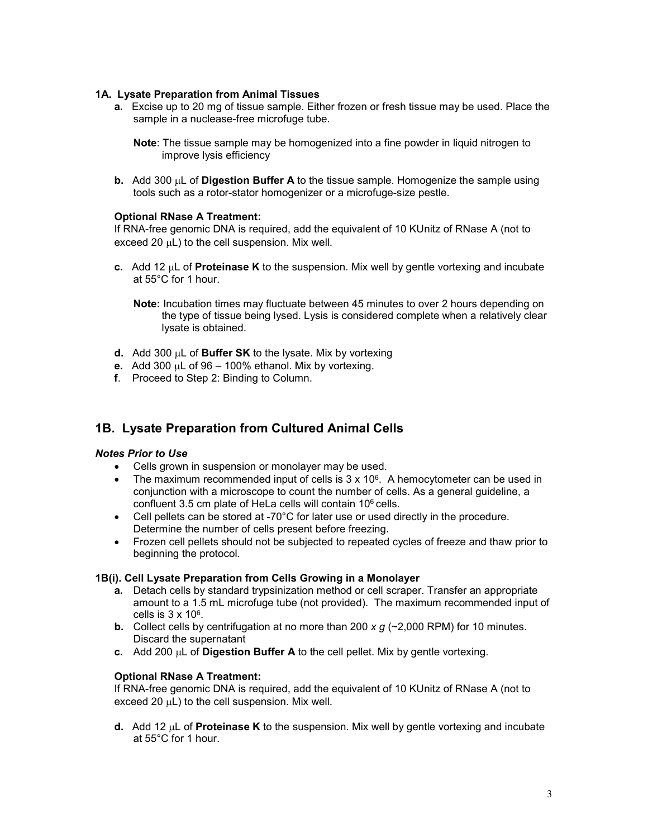#### **1A. Lysate Preparation from Animal Tissues**

**a.** Excise up to 20 mg of tissue sample. Either frozen or fresh tissue may be used. Place the sample in a nuclease-free microfuge tube.

**Note**: The tissue sample may be homogenized into a fine powder in liquid nitrogen to improve lysis efficiency

**b.** Add 300 µL of **Digestion Buffer A** to the tissue sample. Homogenize the sample using tools such as a rotor-stator homogenizer or a microfuge-size pestle.

#### **Optional RNase A Treatment:**

If RNA-free genomic DNA is required, add the equivalent of 10 KUnitz of RNase A (not to exceed 20  $\mu$ L) to the cell suspension. Mix well.

**c.** Add 12 µL of **Proteinase K** to the suspension. Mix well by gentle vortexing and incubate at 55°C for 1 hour.

**Note:** Incubation times may fluctuate between 45 minutes to over 2 hours depending on the type of tissue being lysed. Lysis is considered complete when a relatively clear lysate is obtained.

- **d.** Add 300 µL of **Buffer SK** to the lysate. Mix by vortexing
- **e.** Add 300 µL of 96 100% ethanol. Mix by vortexing.
- **f**. Proceed to Step 2: Binding to Column.

## **1B. Lysate Preparation from Cultured Animal Cells**

#### *Notes Prior to Use*

- Cells grown in suspension or monolayer may be used.
- The maximum recommended input of cells is  $3 \times 10^6$ . A hemocytometer can be used in conjunction with a microscope to count the number of cells. As a general guideline, a confluent 3.5 cm plate of HeLa cells will contain 106 cells.
- Cell pellets can be stored at -70°C for later use or used directly in the procedure. Determine the number of cells present before freezing.
- Frozen cell pellets should not be subjected to repeated cycles of freeze and thaw prior to beginning the protocol.

#### **1B(i). Cell Lysate Preparation from Cells Growing in a Monolayer**

- **a.** Detach cells by standard trypsinization method or cell scraper. Transfer an appropriate amount to a 1.5 mL microfuge tube (not provided). The maximum recommended input of cells is  $3 \times 10^6$ .
- **b.** Collect cells by centrifugation at no more than 200 *x g* (~2,000 RPM) for 10 minutes. Discard the supernatant
- **c.** Add 200 µL of **Digestion Buffer A** to the cell pellet. Mix by gentle vortexing.

#### **Optional RNase A Treatment:**

If RNA-free genomic DNA is required, add the equivalent of 10 KUnitz of RNase A (not to exceed 20  $\mu$ L) to the cell suspension. Mix well.

**d.** Add 12 µL of **Proteinase K** to the suspension. Mix well by gentle vortexing and incubate at 55°C for 1 hour.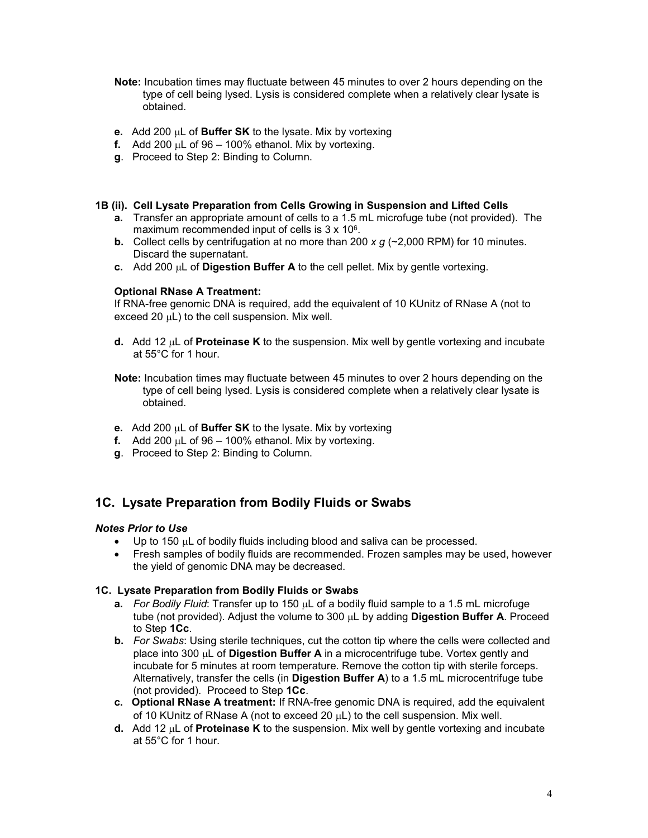- **Note:** Incubation times may fluctuate between 45 minutes to over 2 hours depending on the type of cell being lysed. Lysis is considered complete when a relatively clear lysate is obtained.
- **e.** Add 200 µL of **Buffer SK** to the lysate. Mix by vortexing
- **f.** Add 200  $\mu$ L of 96 100% ethanol. Mix by vortexing.
- **g**. Proceed to Step 2: Binding to Column.

#### **1B (ii). Cell Lysate Preparation from Cells Growing in Suspension and Lifted Cells**

- **a.** Transfer an appropriate amount of cells to a 1.5 mL microfuge tube (not provided). The maximum recommended input of cells is  $3 \times 10^6$ .
- **b.** Collect cells by centrifugation at no more than 200 *x g* (~2,000 RPM) for 10 minutes. Discard the supernatant.
- **c.** Add 200 µL of **Digestion Buffer A** to the cell pellet. Mix by gentle vortexing.

#### **Optional RNase A Treatment:**

If RNA-free genomic DNA is required, add the equivalent of 10 KUnitz of RNase A (not to exceed 20  $\mu$ L) to the cell suspension. Mix well.

- **d.** Add 12 µL of **Proteinase K** to the suspension. Mix well by gentle vortexing and incubate at 55°C for 1 hour.
- **Note:** Incubation times may fluctuate between 45 minutes to over 2 hours depending on the type of cell being lysed. Lysis is considered complete when a relatively clear lysate is obtained.
- **e.** Add 200 µL of **Buffer SK** to the lysate. Mix by vortexing
- **f.** Add 200  $\mu$ L of 96 100% ethanol. Mix by vortexing.
- **g**. Proceed to Step 2: Binding to Column.

## **1C. Lysate Preparation from Bodily Fluids or Swabs**

#### *Notes Prior to Use*

- Up to 150 µL of bodily fluids including blood and saliva can be processed.
- Fresh samples of bodily fluids are recommended. Frozen samples may be used, however the yield of genomic DNA may be decreased.

#### **1C. Lysate Preparation from Bodily Fluids or Swabs**

- **a.** *For Bodily Fluid*: Transfer up to 150 µL of a bodily fluid sample to a 1.5 mL microfuge tube (not provided). Adjust the volume to 300 µL by adding **Digestion Buffer A**. Proceed to Step **1Cc**.
- **b.** *For Swabs*: Using sterile techniques, cut the cotton tip where the cells were collected and place into 300 µL of **Digestion Buffer A** in a microcentrifuge tube. Vortex gently and incubate for 5 minutes at room temperature. Remove the cotton tip with sterile forceps. Alternatively, transfer the cells (in **Digestion Buffer A**) to a 1.5 mL microcentrifuge tube (not provided). Proceed to Step **1Cc**.
- **c. Optional RNase A treatment:** If RNA-free genomic DNA is required, add the equivalent of 10 KUnitz of RNase A (not to exceed 20 µL) to the cell suspension. Mix well.
- **d.** Add 12 µL of **Proteinase K** to the suspension. Mix well by gentle vortexing and incubate at 55°C for 1 hour.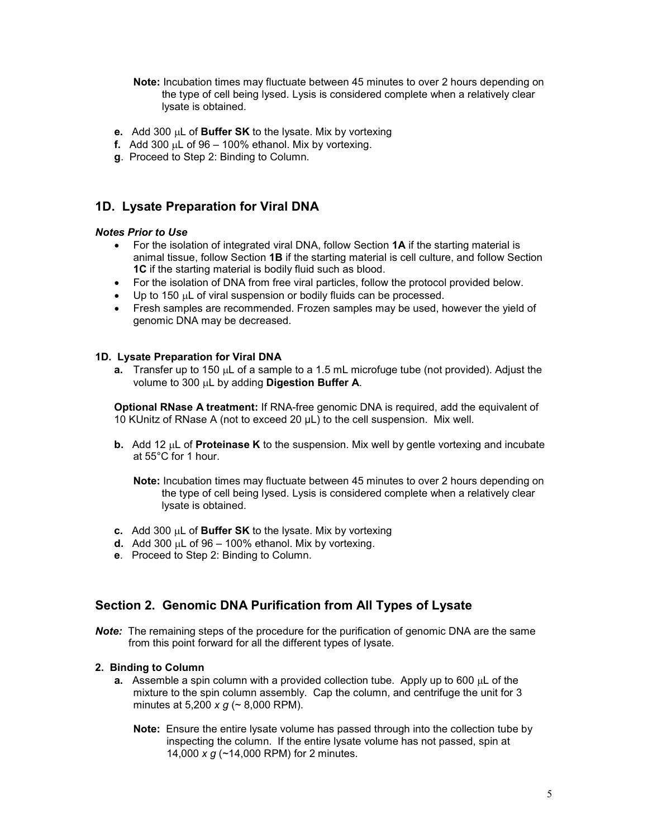- **Note:** Incubation times may fluctuate between 45 minutes to over 2 hours depending on the type of cell being lysed. Lysis is considered complete when a relatively clear lysate is obtained.
- **e.** Add 300 µL of **Buffer SK** to the lysate. Mix by vortexing
- **f.** Add 300  $\mu$ L of 96 100% ethanol. Mix by vortexing.
- **g**. Proceed to Step 2: Binding to Column.

## **1D. Lysate Preparation for Viral DNA**

#### *Notes Prior to Use*

- For the isolation of integrated viral DNA, follow Section **1A** if the starting material is animal tissue, follow Section **1B** if the starting material is cell culture, and follow Section **1C** if the starting material is bodily fluid such as blood.
- For the isolation of DNA from free viral particles, follow the protocol provided below.
- Up to 150 µL of viral suspension or bodily fluids can be processed.
- Fresh samples are recommended. Frozen samples may be used, however the yield of genomic DNA may be decreased.

#### **1D. Lysate Preparation for Viral DNA**

**a.** Transfer up to 150 µL of a sample to a 1.5 mL microfuge tube (not provided). Adjust the volume to 300 µL by adding **Digestion Buffer A**.

**Optional RNase A treatment:** If RNA-free genomic DNA is required, add the equivalent of 10 KUnitz of RNase A (not to exceed 20 μL) to the cell suspension. Mix well.

**b.** Add 12 µL of **Proteinase K** to the suspension. Mix well by gentle vortexing and incubate at 55°C for 1 hour.

**Note:** Incubation times may fluctuate between 45 minutes to over 2 hours depending on the type of cell being lysed. Lysis is considered complete when a relatively clear lysate is obtained.

- **c.** Add 300 µL of **Buffer SK** to the lysate. Mix by vortexing
- **d.** Add 300 µL of 96 100% ethanol. Mix by vortexing.
- **e**. Proceed to Step 2: Binding to Column.

## **Section 2. Genomic DNA Purification from All Types of Lysate**

**Note:** The remaining steps of the procedure for the purification of genomic DNA are the same from this point forward for all the different types of lysate.

#### **2. Binding to Column**

- **a.** Assemble a spin column with a provided collection tube. Apply up to 600 µL of the mixture to the spin column assembly. Cap the column, and centrifuge the unit for 3 minutes at 5,200 *x g* (~ 8,000 RPM).
	- **Note:** Ensure the entire lysate volume has passed through into the collection tube by inspecting the column. If the entire lysate volume has not passed, spin at 14,000 *x g* (~14,000 RPM) for 2 minutes.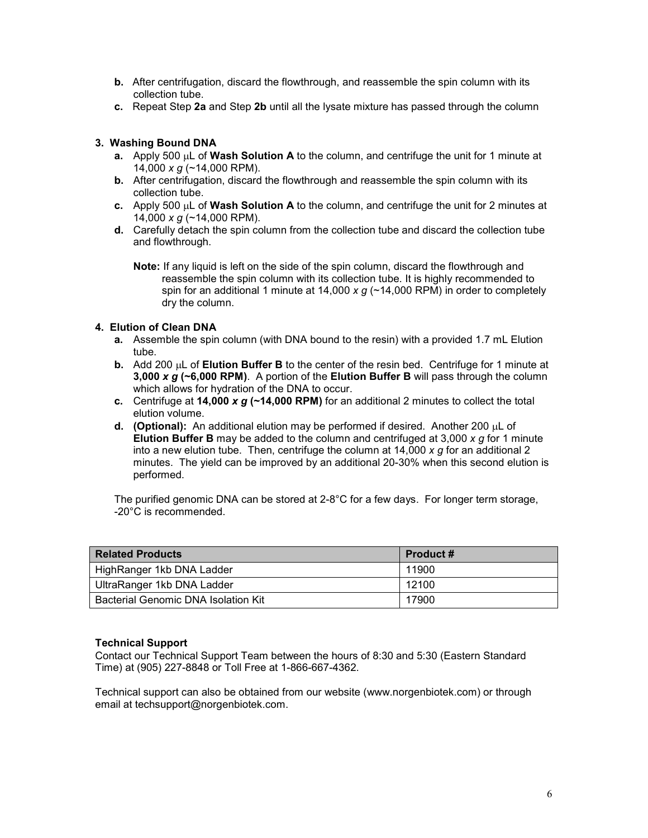- **b.** After centrifugation, discard the flowthrough, and reassemble the spin column with its collection tube.
- **c.** Repeat Step **2a** and Step **2b** until all the lysate mixture has passed through the column

### **3. Washing Bound DNA**

- **a.** Apply 500 µL of **Wash Solution A** to the column, and centrifuge the unit for 1 minute at 14,000 *x g* (~14,000 RPM).
- **b.** After centrifugation, discard the flowthrough and reassemble the spin column with its collection tube.
- **c.** Apply 500 µL of **Wash Solution A** to the column, and centrifuge the unit for 2 minutes at 14,000 *x g* (~14,000 RPM).
- **d.** Carefully detach the spin column from the collection tube and discard the collection tube and flowthrough.

**Note:** If any liquid is left on the side of the spin column, discard the flowthrough and reassemble the spin column with its collection tube. It is highly recommended to spin for an additional 1 minute at 14,000 *x g* (~14,000 RPM) in order to completely dry the column.

#### **4. Elution of Clean DNA**

- **a.** Assemble the spin column (with DNA bound to the resin) with a provided 1.7 mL Elution tube.
- **b.** Add 200 µL of **Elution Buffer B** to the center of the resin bed. Centrifuge for 1 minute at **3,000** *x g* **(~6,000 RPM)**. A portion of the **Elution Buffer B** will pass through the column which allows for hydration of the DNA to occur.
- **c.** Centrifuge at **14,000** *x g* **(~14,000 RPM)** for an additional 2 minutes to collect the total elution volume.
- **d. (Optional):** An additional elution may be performed if desired. Another 200 µL of **Elution Buffer B** may be added to the column and centrifuged at 3,000 *x g* for 1 minute into a new elution tube. Then, centrifuge the column at 14,000 *x g* for an additional 2 minutes. The yield can be improved by an additional 20-30% when this second elution is performed.

The purified genomic DNA can be stored at 2-8°C for a few days. For longer term storage, -20°C is recommended.

| <b>Related Products</b>             | <b>Product #</b> |
|-------------------------------------|------------------|
| HighRanger 1kb DNA Ladder           | 11900            |
| UltraRanger 1kb DNA Ladder          | 12100            |
| Bacterial Genomic DNA Isolation Kit | 17900            |

#### **Technical Support**

Contact our Technical Support Team between the hours of 8:30 and 5:30 (Eastern Standard Time) at (905) 227-8848 or Toll Free at 1-866-667-4362.

Technical support can also be obtained from our website (www.norgenbiotek.com) or through email at techsupport@norgenbiotek.com.